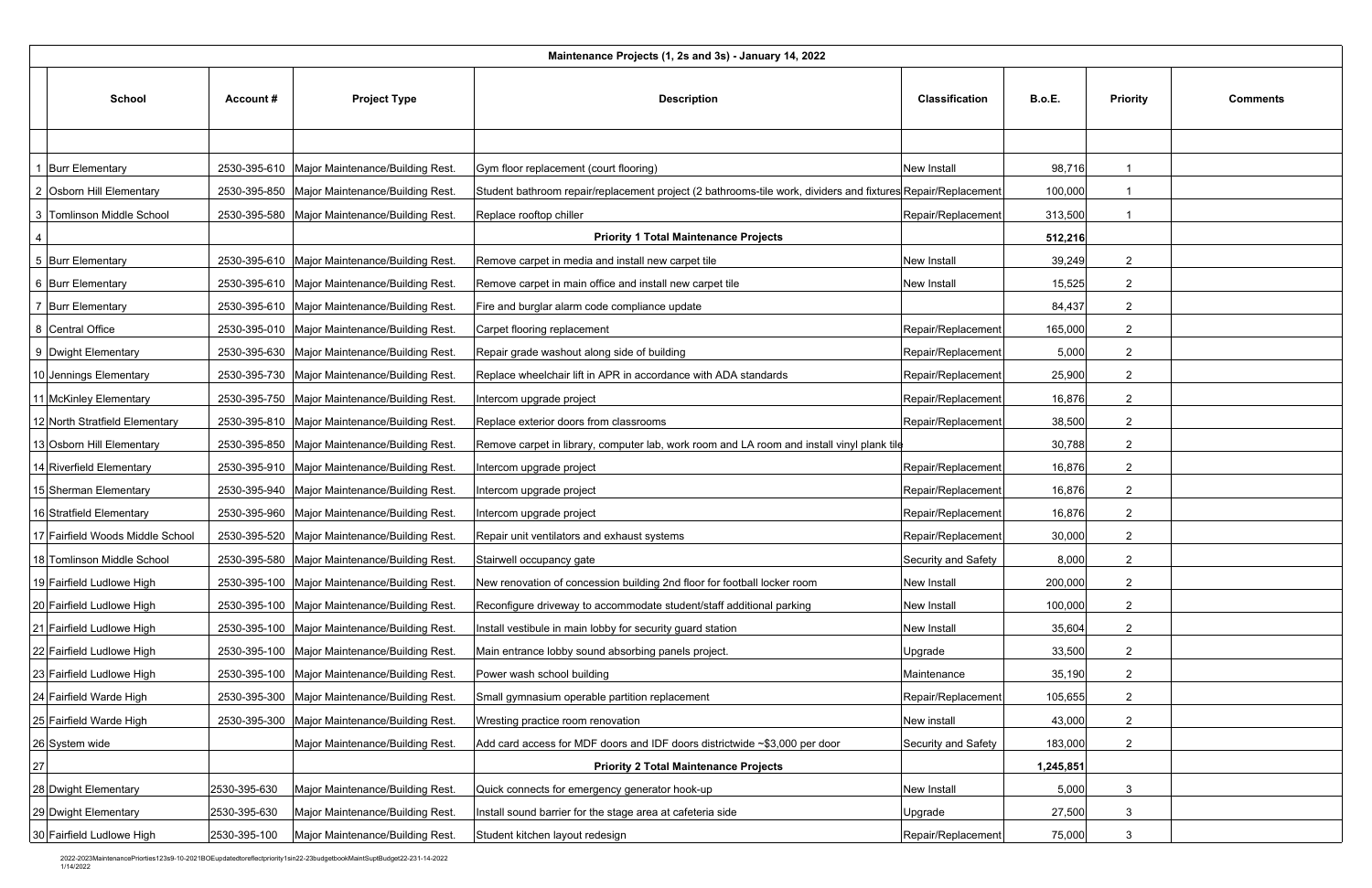|      | Maintenance Projects (1, 2s and 3s) - January 14, 2022 |                  |                                                 |                                                                                                              |                       |               |                 |                 |  |  |
|------|--------------------------------------------------------|------------------|-------------------------------------------------|--------------------------------------------------------------------------------------------------------------|-----------------------|---------------|-----------------|-----------------|--|--|
|      | <b>School</b>                                          | <b>Account #</b> | <b>Project Type</b>                             | <b>Description</b>                                                                                           | <b>Classification</b> | <b>B.o.E.</b> | <b>Priority</b> | <b>Comments</b> |  |  |
|      |                                                        |                  |                                                 |                                                                                                              |                       |               |                 |                 |  |  |
|      | <b>Burr Elementary</b>                                 |                  | 2530-395-610   Major Maintenance/Building Rest. | Gym floor replacement (court flooring)                                                                       | New Install           | 98,716        |                 |                 |  |  |
|      | 2 Osborn Hill Elementary                               |                  | 2530-395-850 Major Maintenance/Building Rest.   | Student bathroom repair/replacement project (2 bathrooms-tile work, dividers and fixtures Repair/Replacement |                       | 100,000       |                 |                 |  |  |
|      | 3 Tomlinson Middle School                              |                  | 2530-395-580   Major Maintenance/Building Rest. | Replace rooftop chiller                                                                                      | Repair/Replacement    | 313,500       |                 |                 |  |  |
| 4    |                                                        |                  |                                                 | <b>Priority 1 Total Maintenance Projects</b>                                                                 |                       | 512,216       |                 |                 |  |  |
|      | 5 Burr Elementary                                      |                  | 2530-395-610   Major Maintenance/Building Rest. | Remove carpet in media and install new carpet tile                                                           | <b>New Install</b>    | 39,249        | $\overline{2}$  |                 |  |  |
|      | 6 Burr Elementary                                      |                  | 2530-395-610   Major Maintenance/Building Rest. | Remove carpet in main office and install new carpet tile                                                     | New Install           | 15,525        | $\overline{2}$  |                 |  |  |
|      | 7 Burr Elementary                                      |                  | 2530-395-610   Major Maintenance/Building Rest. | Fire and burglar alarm code compliance update                                                                |                       | 84,437        | $\overline{2}$  |                 |  |  |
|      | 8 Central Office                                       |                  | 2530-395-010   Major Maintenance/Building Rest  | Carpet flooring replacement                                                                                  | Repair/Replacement    | 165,000       | $\overline{2}$  |                 |  |  |
|      | 9 Dwight Elementary                                    |                  | 2530-395-630 Major Maintenance/Building Rest.   | Repair grade washout along side of building                                                                  | Repair/Replacement    | 5,000         | $\overline{2}$  |                 |  |  |
|      | 10 Jennings Elementary                                 |                  | 2530-395-730   Major Maintenance/Building Rest. | Replace wheelchair lift in APR in accordance with ADA standards                                              | Repair/Replacement    | 25,900        | $\overline{2}$  |                 |  |  |
|      | 11 McKinley Elementary                                 |                  | 2530-395-750   Major Maintenance/Building Rest. | Intercom upgrade project                                                                                     | Repair/Replacement    | 16,876        | $\overline{2}$  |                 |  |  |
|      | 12 North Stratfield Elementary                         |                  | 2530-395-810   Major Maintenance/Building Rest. | Replace exterior doors from classrooms                                                                       | Repair/Replacement    | 38,500        | $\overline{2}$  |                 |  |  |
|      | 13 Osborn Hill Elementary                              |                  | 2530-395-850   Major Maintenance/Building Rest. | Remove carpet in library, computer lab, work room and LA room and install vinyl plank tile                   |                       | 30,788        | $\overline{2}$  |                 |  |  |
|      | 14 Riverfield Elementary                               |                  | 2530-395-910   Major Maintenance/Building Rest. | Intercom upgrade project                                                                                     | Repair/Replacement    | 16,876        | $\overline{2}$  |                 |  |  |
|      | 15 Sherman Elementary                                  |                  | 2530-395-940   Major Maintenance/Building Rest. | Intercom upgrade project                                                                                     | Repair/Replacement    | 16,876        | $\overline{2}$  |                 |  |  |
|      | 16 Stratfield Elementary                               |                  | 2530-395-960   Major Maintenance/Building Rest. | Intercom upgrade project                                                                                     | Repair/Replacement    | 16,876        | $\overline{2}$  |                 |  |  |
|      | 17 Fairfield Woods Middle School                       |                  | 2530-395-520 Major Maintenance/Building Rest.   | Repair unit ventilators and exhaust systems                                                                  | Repair/Replacement    | 30,000        | $\overline{2}$  |                 |  |  |
|      | 18 Tomlinson Middle School                             |                  | 2530-395-580   Major Maintenance/Building Rest  | Stairwell occupancy gate                                                                                     | Security and Safety   | 8,000         | $\overline{2}$  |                 |  |  |
|      | 19 Fairfield Ludlowe High                              |                  | 2530-395-100 Major Maintenance/Building Rest.   | New renovation of concession building 2nd floor for football locker room                                     | New Install           | 200,000       | $\overline{2}$  |                 |  |  |
|      | 20 Fairfield Ludlowe High                              |                  | 2530-395-100 Major Maintenance/Building Rest.   | Reconfigure driveway to accommodate student/staff additional parking                                         | New Install           | 100,000       | $\overline{2}$  |                 |  |  |
|      | 21 Fairfield Ludlowe High                              |                  | 2530-395-100   Major Maintenance/Building Rest  | Install vestibule in main lobby for security guard station                                                   | <b>New Install</b>    | 35,604        | $\overline{2}$  |                 |  |  |
|      | 22 Fairfield Ludlowe High                              |                  | 2530-395-100   Major Maintenance/Building Rest  | Main entrance lobby sound absorbing panels project.                                                          | Upgrade               | 33,500        | $\overline{2}$  |                 |  |  |
|      | 23 Fairfield Ludlowe High                              |                  | 2530-395-100 Major Maintenance/Building Rest.   | Power wash school building                                                                                   | Maintenance           | 35,190        | $\overline{2}$  |                 |  |  |
|      | 24 Fairfield Warde High                                |                  | 2530-395-300   Major Maintenance/Building Rest. | Small gymnasium operable partition replacement                                                               | Repair/Replacement    | 105,655       | $\overline{2}$  |                 |  |  |
|      | 25 Fairfield Warde High                                |                  | 2530-395-300   Major Maintenance/Building Rest. | Wresting practice room renovation                                                                            | New install           | 43,000        | -2              |                 |  |  |
|      | 26 System wide                                         |                  | Major Maintenance/Building Rest.                | Add card access for MDF doors and IDF doors districtwide ~\$3,000 per door                                   | Security and Safety   | 183,000       | $\overline{2}$  |                 |  |  |
| $27$ |                                                        |                  |                                                 | <b>Priority 2 Total Maintenance Projects</b>                                                                 |                       | 1,245,851     |                 |                 |  |  |
|      | 28 Dwight Elementary                                   | 2530-395-630     | Major Maintenance/Building Rest                 | Quick connects for emergency generator hook-up                                                               | New Install           | 5,000         | -3              |                 |  |  |
|      | 29 Dwight Elementary                                   | 2530-395-630     | Major Maintenance/Building Rest.                | Install sound barrier for the stage area at cafeteria side                                                   | Upgrade               | 27,500        | 3               |                 |  |  |
|      | 30 Fairfield Ludlowe High                              | 2530-395-100     | Major Maintenance/Building Rest.                | Student kitchen layout redesign                                                                              | Repair/Replacement    | 75,000        | 3               |                 |  |  |